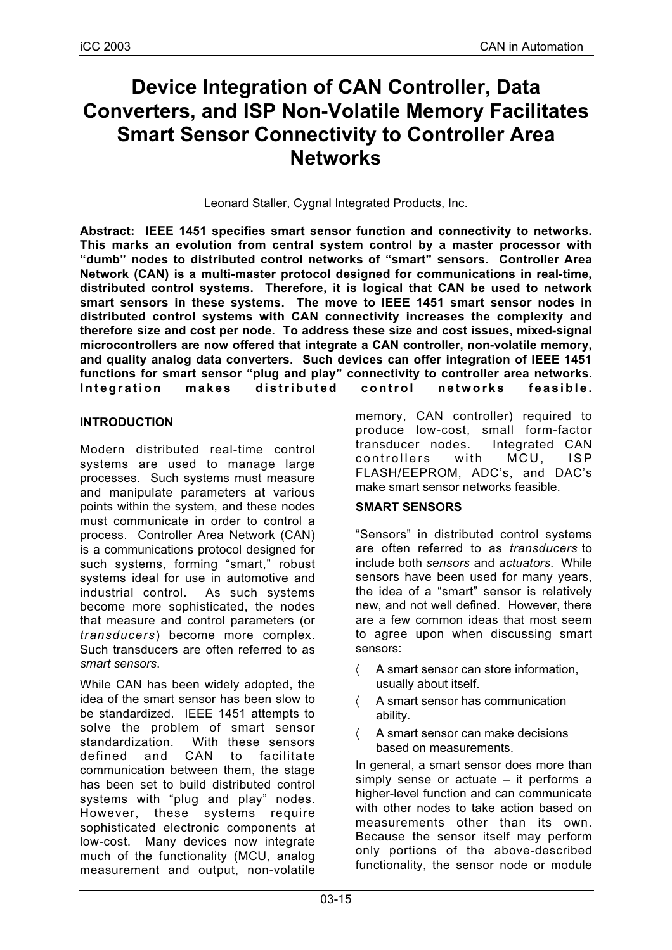# **Device Integration of CAN Controller, Data Converters, and ISP Non-Volatile Memory Facilitates Smart Sensor Connectivity to Controller Area Networks**

Leonard Staller, Cygnal Integrated Products, Inc.

**Abstract: IEEE 1451 specifies smart sensor function and connectivity to networks. This marks an evolution from central system control by a master processor with "dumb" nodes to distributed control networks of "smart" sensors. Controller Area Network (CAN) is a multi-master protocol designed for communications in real-time, distributed control systems. Therefore, it is logical that CAN be used to network smart sensors in these systems. The move to IEEE 1451 smart sensor nodes in distributed control systems with CAN connectivity increases the complexity and therefore size and cost per node. To address these size and cost issues, mixed-signal microcontrollers are now offered that integrate a CAN controller, non-volatile memory, and quality analog data converters. Such devices can offer integration of IEEE 1451 functions for smart sensor "plug and play" connectivity to controller area networks. Integration makes distributed control networks feasible.**

## **INTRODUCTION**

Modern distributed real-time control systems are used to manage large processes. Such systems must measure and manipulate parameters at various points within the system, and these nodes must communicate in order to control a process. Controller Area Network (CAN) is a communications protocol designed for such systems, forming "smart," robust systems ideal for use in automotive and industrial control. As such systems become more sophisticated, the nodes that measure and control parameters (or *transducers*) become more complex. Such transducers are often referred to as *smart sensors*.

While CAN has been widely adopted, the idea of the smart sensor has been slow to be standardized. IEEE 1451 attempts to solve the problem of smart sensor standardization. With these sensors defined and CAN to facilitate communication between them, the stage has been set to build distributed control systems with "plug and play" nodes. However, these systems require sophisticated electronic components at low-cost. Many devices now integrate much of the functionality (MCU, analog measurement and output, non-volatile memory, CAN controller) required to produce low-cost, small form-factor transducer nodes. Integrated CAN controllers with MCU, ISP FLASH/EEPROM, ADC's, and DAC's make smart sensor networks feasible.

## **SMART SENSORS**

"Sensors" in distributed control systems are often referred to as *transducers* to include both *sensors* and *actuators*. While sensors have been used for many years, the idea of a "smart" sensor is relatively new, and not well defined. However, there are a few common ideas that most seem to agree upon when discussing smart sensors:

- 〈 A smart sensor can store information, usually about itself.
- 〈 A smart sensor has communication ability.
- A smart sensor can make decisions based on measurements.

In general, a smart sensor does more than simply sense or actuate – it performs a higher-level function and can communicate with other nodes to take action based on measurements other than its own. Because the sensor itself may perform only portions of the above-described functionality, the sensor node or module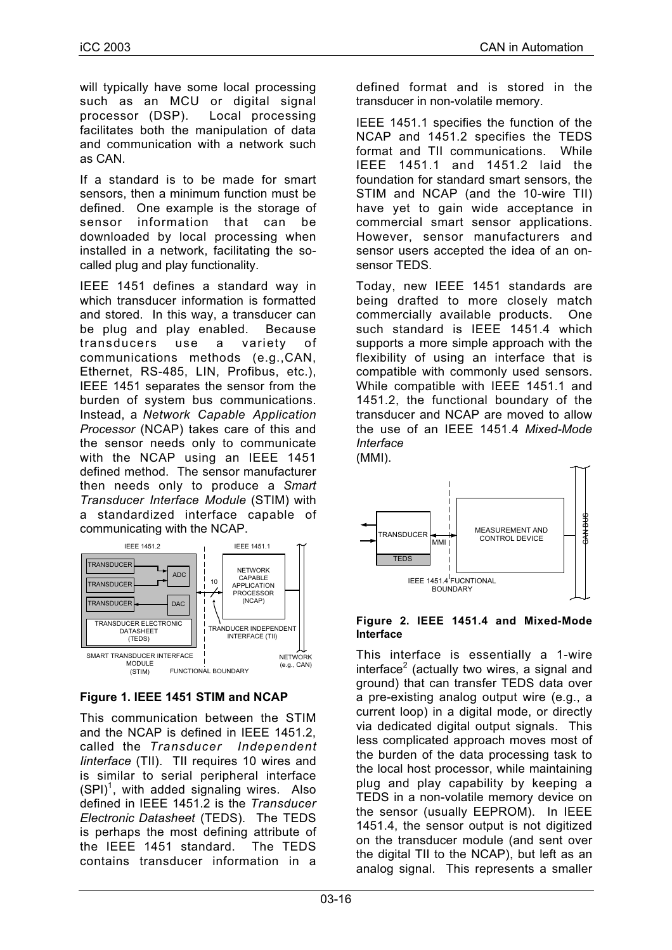will typically have some local processing such as an MCU or digital signal processor (DSP). Local processing facilitates both the manipulation of data and communication with a network such as CAN.

If a standard is to be made for smart sensors, then a minimum function must be defined. One example is the storage of sensor information that can be downloaded by local processing when installed in a network, facilitating the socalled plug and play functionality.

IEEE 1451 defines a standard way in which transducer information is formatted and stored. In this way, a transducer can be plug and play enabled. Because transducers use a variety of communications methods (e.g.,CAN, Ethernet, RS-485, LIN, Profibus, etc.), IEEE 1451 separates the sensor from the burden of system bus communications. Instead, a *Network Capable Application Processor* (NCAP) takes care of this and the sensor needs only to communicate with the NCAP using an IEEE 1451 defined method. The sensor manufacturer then needs only to produce a *Smart Transducer Interface Module* (STIM) with a standardized interface capable of communicating with the NCAP.



# **Figure 1. IEEE 1451 STIM and NCAP**

This communication between the STIM and the NCAP is defined in IEEE 1451.2, called the *Transducer Independent Iinterface* (TII). TII requires 10 wires and is similar to serial peripheral interface  $(SPI)^1$ , with added signaling wires. Also defined in IEEE 1451.2 is the *Transducer Electronic Datasheet* (TEDS). The TEDS is perhaps the most defining attribute of the IEEE 1451 standard. The TEDS contains transducer information in a

defined format and is stored in the transducer in non-volatile memory.

IEEE 1451.1 specifies the function of the NCAP and 1451.2 specifies the TEDS format and TII communications. While IEEE 1451.1 and 1451.2 laid the foundation for standard smart sensors, the STIM and NCAP (and the 10-wire TII) have yet to gain wide acceptance in commercial smart sensor applications. However, sensor manufacturers and sensor users accepted the idea of an onsensor TEDS.

Today, new IEEE 1451 standards are being drafted to more closely match commercially available products. One such standard is IEEE 1451.4 which supports a more simple approach with the flexibility of using an interface that is compatible with commonly used sensors. While compatible with IEEE 1451.1 and 1451.2, the functional boundary of the transducer and NCAP are moved to allow the use of an IEEE 1451.4 *Mixed-Mode Interface*





#### **Figure 2. IEEE 1451.4 and Mixed-Mode Interface**

This interface is essentially a 1-wire interface<sup>2</sup> (actually two wires, a signal and ground) that can transfer TEDS data over a pre-existing analog output wire (e.g., a current loop) in a digital mode, or directly via dedicated digital output signals. This less complicated approach moves most of the burden of the data processing task to the local host processor, while maintaining plug and play capability by keeping a TEDS in a non-volatile memory device on the sensor (usually EEPROM). In IEEE 1451.4, the sensor output is not digitized on the transducer module (and sent over the digital TII to the NCAP), but left as an analog signal. This represents a smaller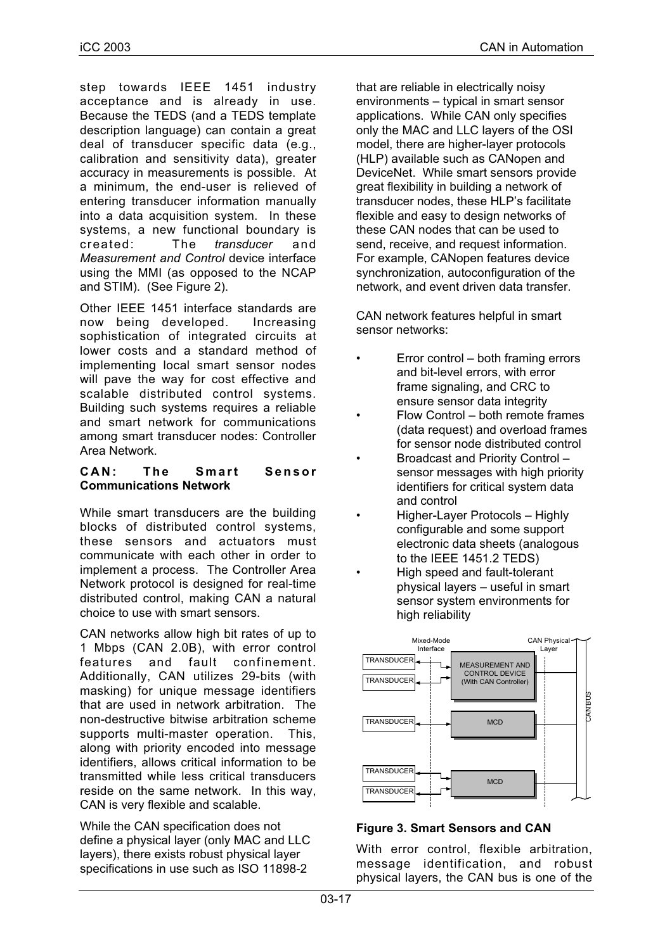step towards IEEE 1451 industry acceptance and is already in use. Because the TEDS (and a TEDS template description language) can contain a great deal of transducer specific data (e.g., calibration and sensitivity data), greater accuracy in measurements is possible. At a minimum, the end-user is relieved of entering transducer information manually into a data acquisition system. In these systems, a new functional boundary is created: The *transducer* and *Measurement and Control* device interface using the MMI (as opposed to the NCAP and STIM). (See Figure 2).

Other IEEE 1451 interface standards are now being developed. Increasing sophistication of integrated circuits at lower costs and a standard method of implementing local smart sensor nodes will pave the way for cost effective and scalable distributed control systems. Building such systems requires a reliable and smart network for communications among smart transducer nodes: Controller Area Network.

#### **CAN: The Smart Sensor Communications Network**

While smart transducers are the building blocks of distributed control systems, these sensors and actuators must communicate with each other in order to implement a process. The Controller Area Network protocol is designed for real-time distributed control, making CAN a natural choice to use with smart sensors.

CAN networks allow high bit rates of up to 1 Mbps (CAN 2.0B), with error control features and fault confinement. Additionally, CAN utilizes 29-bits (with masking) for unique message identifiers that are used in network arbitration. The non-destructive bitwise arbitration scheme supports multi-master operation. This, along with priority encoded into message identifiers, allows critical information to be transmitted while less critical transducers reside on the same network. In this way, CAN is very flexible and scalable.

While the CAN specification does not define a physical layer (only MAC and LLC layers), there exists robust physical layer specifications in use such as ISO 11898-2

that are reliable in electrically noisy environments – typical in smart sensor applications. While CAN only specifies only the MAC and LLC layers of the OSI model, there are higher-layer protocols (HLP) available such as CANopen and DeviceNet. While smart sensors provide great flexibility in building a network of transducer nodes, these HLP's facilitate flexible and easy to design networks of these CAN nodes that can be used to send, receive, and request information. For example, CANopen features device synchronization, autoconfiguration of the network, and event driven data transfer.

CAN network features helpful in smart sensor networks:

- Error control both framing errors and bit-level errors, with error frame signaling, and CRC to ensure sensor data integrity
- Flow Control both remote frames (data request) and overload frames for sensor node distributed control
- Broadcast and Priority Control sensor messages with high priority identifiers for critical system data and control
- Higher-Layer Protocols Highly configurable and some support electronic data sheets (analogous to the IEEE 1451.2 TEDS)
- High speed and fault-tolerant physical layers – useful in smart sensor system environments for high reliability



# **Figure 3. Smart Sensors and CAN**

With error control, flexible arbitration, message identification, and robust physical layers, the CAN bus is one of the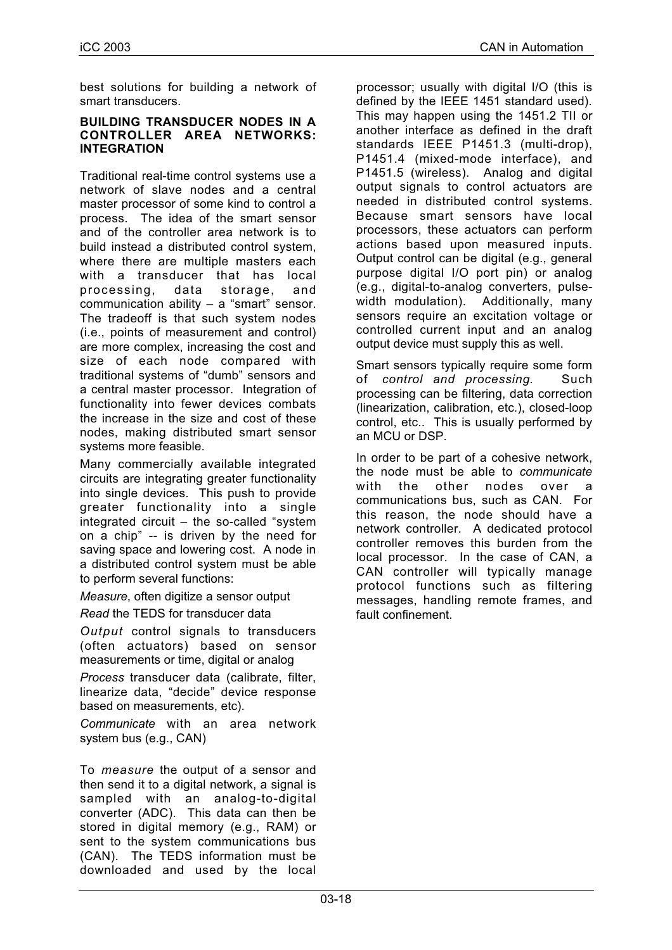best solutions for building a network of smart transducers.

#### **BUILDING TRANSDUCER NODES IN A CONTROLLER AREA NETWORKS: INTEGRATION**

Traditional real-time control systems use a network of slave nodes and a central master processor of some kind to control a process. The idea of the smart sensor and of the controller area network is to build instead a distributed control system, where there are multiple masters each with a transducer that has local processing, data storage, and communication ability – a "smart" sensor. The tradeoff is that such system nodes (i.e., points of measurement and control) are more complex, increasing the cost and size of each node compared with traditional systems of "dumb" sensors and a central master processor. Integration of functionality into fewer devices combats the increase in the size and cost of these nodes, making distributed smart sensor systems more feasible.

Many commercially available integrated circuits are integrating greater functionality into single devices. This push to provide greater functionality into a single integrated circuit – the so-called "system on a chip" -- is driven by the need for saving space and lowering cost. A node in a distributed control system must be able to perform several functions:

*Measure*, often digitize a sensor output

*Read* the TEDS for transducer data

*Output* control signals to transducers (often actuators) based on sensor measurements or time, digital or analog

*Process* transducer data (calibrate, filter, linearize data, "decide" device response based on measurements, etc).

*Communicate* with an area network system bus (e.g., CAN)

To *measure* the output of a sensor and then send it to a digital network, a signal is sampled with an analog-to-digital converter (ADC). This data can then be stored in digital memory (e.g., RAM) or sent to the system communications bus (CAN). The TEDS information must be downloaded and used by the local processor; usually with digital I/O (this is defined by the IEEE 1451 standard used). This may happen using the 1451.2 TII or another interface as defined in the draft standards IEEE P1451.3 (multi-drop), P1451.4 (mixed-mode interface), and P1451.5 (wireless). Analog and digital output signals to control actuators are needed in distributed control systems. Because smart sensors have local processors, these actuators can perform actions based upon measured inputs. Output control can be digital (e.g., general purpose digital I/O port pin) or analog (e.g., digital-to-analog converters, pulsewidth modulation). Additionally, many sensors require an excitation voltage or controlled current input and an analog output device must supply this as well.

Smart sensors typically require some form of *control and processing*. Such processing can be filtering, data correction (linearization, calibration, etc.), closed-loop control, etc.. This is usually performed by an MCU or DSP.

In order to be part of a cohesive network, the node must be able to *communicate* with the other nodes over a communications bus, such as CAN. For this reason, the node should have a network controller. A dedicated protocol controller removes this burden from the local processor. In the case of CAN, a CAN controller will typically manage protocol functions such as filtering messages, handling remote frames, and fault confinement.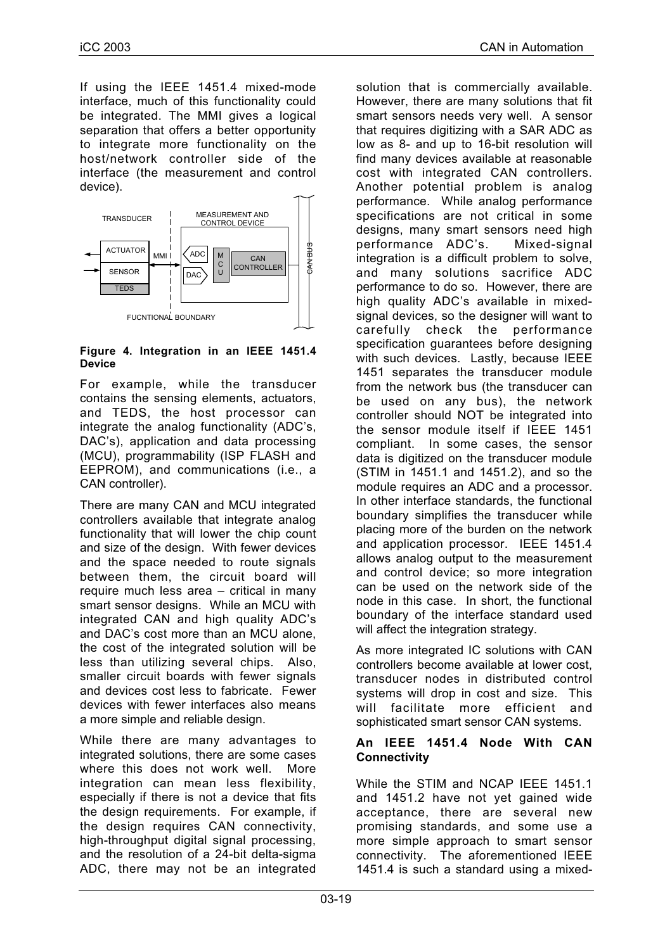If using the IEEE 1451.4 mixed-mode interface, much of this functionality could be integrated. The MMI gives a logical separation that offers a better opportunity to integrate more functionality on the host/network controller side of the interface (the measurement and control device).



#### **Figure 4. Integration in an IEEE 1451.4 Device**

For example, while the transducer contains the sensing elements, actuators, and TEDS, the host processor can integrate the analog functionality (ADC's, DAC's), application and data processing (MCU), programmability (ISP FLASH and EEPROM), and communications (i.e., a CAN controller).

There are many CAN and MCU integrated controllers available that integrate analog functionality that will lower the chip count and size of the design. With fewer devices and the space needed to route signals between them, the circuit board will require much less area – critical in many smart sensor designs. While an MCU with integrated CAN and high quality ADC's and DAC's cost more than an MCU alone, the cost of the integrated solution will be less than utilizing several chips. Also, smaller circuit boards with fewer signals and devices cost less to fabricate. Fewer devices with fewer interfaces also means a more simple and reliable design.

While there are many advantages to integrated solutions, there are some cases where this does not work well. More integration can mean less flexibility, especially if there is not a device that fits the design requirements. For example, if the design requires CAN connectivity, high-throughput digital signal processing, and the resolution of a 24-bit delta-sigma ADC, there may not be an integrated

solution that is commercially available. However, there are many solutions that fit smart sensors needs very well. A sensor that requires digitizing with a SAR ADC as low as 8- and up to 16-bit resolution will find many devices available at reasonable cost with integrated CAN controllers. Another potential problem is analog performance. While analog performance specifications are not critical in some designs, many smart sensors need high performance ADC's. Mixed-signal integration is a difficult problem to solve, and many solutions sacrifice ADC performance to do so. However, there are high quality ADC's available in mixedsignal devices, so the designer will want to carefully check the performance specification guarantees before designing with such devices. Lastly, because IEEE 1451 separates the transducer module from the network bus (the transducer can be used on any bus), the network controller should NOT be integrated into the sensor module itself if IEEE 1451 compliant. In some cases, the sensor data is digitized on the transducer module (STIM in 1451.1 and 1451.2), and so the module requires an ADC and a processor. In other interface standards, the functional boundary simplifies the transducer while placing more of the burden on the network and application processor. IEEE 1451.4 allows analog output to the measurement and control device; so more integration can be used on the network side of the node in this case. In short, the functional boundary of the interface standard used will affect the integration strategy.

As more integrated IC solutions with CAN controllers become available at lower cost, transducer nodes in distributed control systems will drop in cost and size. This will facilitate more efficient and sophisticated smart sensor CAN systems.

## **An IEEE 1451.4 Node With CAN Connectivity**

While the STIM and NCAP IEEE 1451.1 and 1451.2 have not yet gained wide acceptance, there are several new promising standards, and some use a more simple approach to smart sensor connectivity. The aforementioned IEEE 1451.4 is such a standard using a mixed-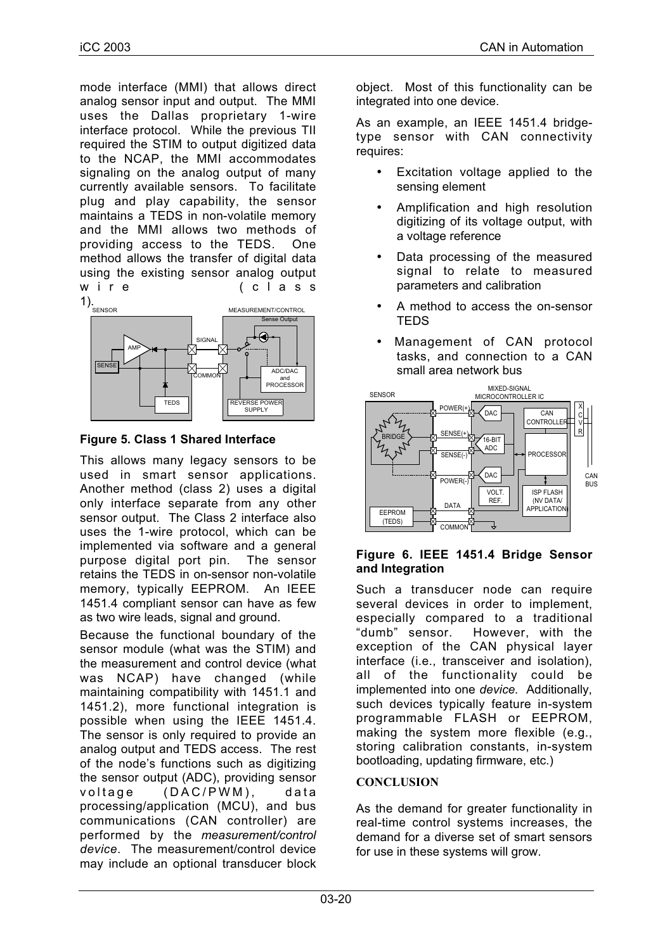mode interface (MMI) that allows direct analog sensor input and output. The MMI uses the Dallas proprietary 1-wire interface protocol. While the previous TII required the STIM to output digitized data to the NCAP, the MMI accommodates signaling on the analog output of many currently available sensors. To facilitate plug and play capability, the sensor maintains a TEDS in non-volatile memory and the MMI allows two methods of providing access to the TEDS. One method allows the transfer of digital data using the existing sensor analog output wire (class



**Figure 5. Class 1 Shared Interface**

This allows many legacy sensors to be used in smart sensor applications. Another method (class 2) uses a digital only interface separate from any other sensor output. The Class 2 interface also uses the 1-wire protocol, which can be implemented via software and a general purpose digital port pin. The sensor retains the TEDS in on-sensor non-volatile memory, typically EEPROM. An IEEE 1451.4 compliant sensor can have as few as two wire leads, signal and ground.

Because the functional boundary of the sensor module (what was the STIM) and the measurement and control device (what was NCAP) have changed (while maintaining compatibility with 1451.1 and 1451.2), more functional integration is possible when using the IEEE 1451.4. The sensor is only required to provide an analog output and TEDS access. The rest of the node's functions such as digitizing the sensor output (ADC), providing sensor voltage (DAC/PWM), data processing/application (MCU), and bus communications (CAN controller) are performed by the *measurement/control device*. The measurement/control device may include an optional transducer block object. Most of this functionality can be integrated into one device.

As an example, an IEEE 1451.4 bridgetype sensor with CAN connectivity requires:

- Excitation voltage applied to the sensing element
- Amplification and high resolution digitizing of its voltage output, with a voltage reference
- Data processing of the measured signal to relate to measured parameters and calibration
- A method to access the on-sensor **TEDS**
- Management of CAN protocol tasks, and connection to a CAN small area network bus



## **Figure 6. IEEE 1451.4 Bridge Sensor and Integration**

Such a transducer node can require several devices in order to implement, especially compared to a traditional "dumb" sensor. However, with the exception of the CAN physical layer interface (i.e., transceiver and isolation), all of the functionality could be implemented into one *device.* Additionally, such devices typically feature in-system programmable FLASH or EEPROM, making the system more flexible (e.g., storing calibration constants, in-system bootloading, updating firmware, etc.)

# **CONCLUSION**

As the demand for greater functionality in real-time control systems increases, the demand for a diverse set of smart sensors for use in these systems will grow.